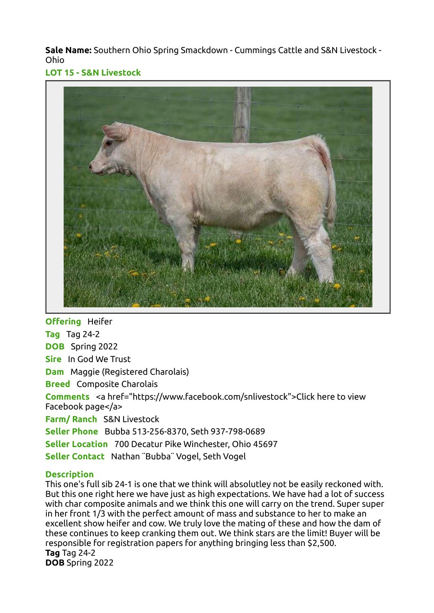Sale Name: Southern Ohio Spring Smackdown - Cummings Cattle and S&N Livestock - Ohio

LOT 15 - S&N Livestock



**Offering Heifer Tag** Tag 24-2 DOB Spring 2022 Sire In God We Trust Dam Maggie (Registered Charolais) **Breed** Composite Charolais Comments <a href="https://www.facebook.com/snlivestock">Click here to view Facebook page</a> Farm/ Ranch S&N Livestock Seller Phone Bubba 513-256-8370, Seth 937-798-0689 Seller Location 700 Decatur Pike Winchester, Ohio 45697

Seller Contact Nathan ¨Bubba¨ Vogel, Seth Vogel

## **Description**

This one's full sib 24-1 is one that we think will absolutley not be easily reckoned with. But this one right here we have just as high expectations. We have had a lot of success with char composite animals and we think this one will carry on the trend. Super super in her front 1/3 with the perfect amount of mass and substance to her to make an excellent show heifer and cow. We truly love the mating of these and how the dam of these continues to keep cranking them out. We think stars are the limit! Buyer will be responsible for registration papers for anything bringing less than \$2,500. Tag Tag 24-2 DOB Spring 2022